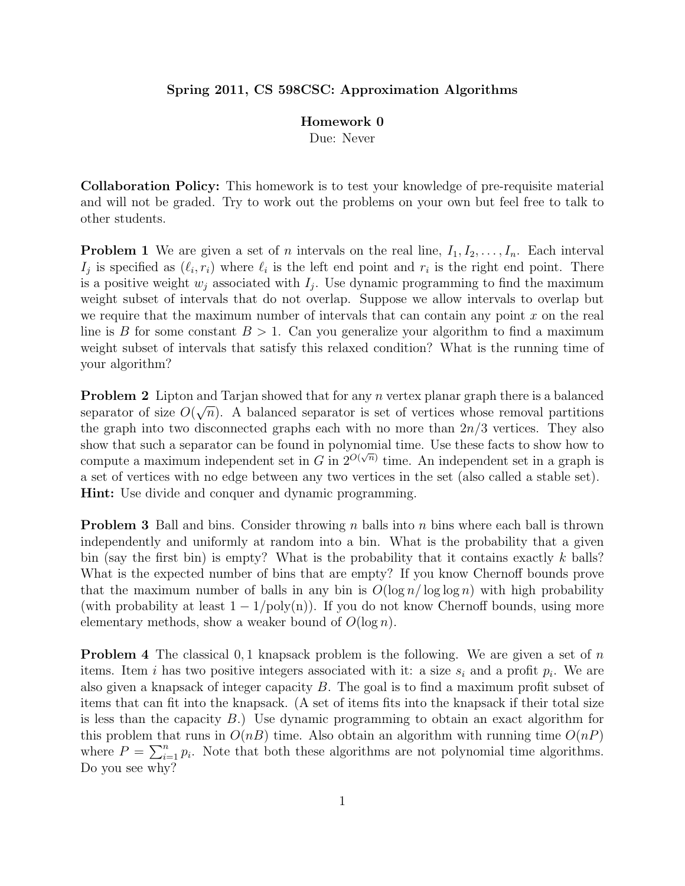## Spring 2011, CS 598CSC: Approximation Algorithms

## Homework 0

Due: Never

Collaboration Policy: This homework is to test your knowledge of pre-requisite material and will not be graded. Try to work out the problems on your own but feel free to talk to other students.

**Problem 1** We are given a set of n intervals on the real line,  $I_1, I_2, \ldots, I_n$ . Each interval  $I_j$  is specified as  $(\ell_i, r_i)$  where  $\ell_i$  is the left end point and  $r_i$  is the right end point. There is a positive weight  $w_j$  associated with  $I_j$ . Use dynamic programming to find the maximum weight subset of intervals that do not overlap. Suppose we allow intervals to overlap but we require that the maximum number of intervals that can contain any point  $x$  on the real line is B for some constant  $B > 1$ . Can you generalize your algorithm to find a maximum weight subset of intervals that satisfy this relaxed condition? What is the running time of your algorithm?

**Problem 2** Lipton and Tarjan showed that for any *n* vertex planar graph there is a balanced separator of size  $O(\sqrt{n})$ . A balanced separator is set of vertices whose removal partitions the graph into two disconnected graphs each with no more than  $2n/3$  vertices. They also show that such a separator can be found in polynomial time. Use these facts to show how to compute a maximum independent set in G in  $2^{O(\sqrt{n})}$  time. An independent set in a graph is a set of vertices with no edge between any two vertices in the set (also called a stable set). Hint: Use divide and conquer and dynamic programming.

**Problem 3** Ball and bins. Consider throwing n balls into n bins where each ball is thrown independently and uniformly at random into a bin. What is the probability that a given bin (say the first bin) is empty? What is the probability that it contains exactly  $k$  balls? What is the expected number of bins that are empty? If you know Chernoff bounds prove that the maximum number of balls in any bin is  $O(\log n / \log \log n)$  with high probability (with probability at least  $1 - 1/\text{poly}(n)$ ). If you do not know Chernoff bounds, using more elementary methods, show a weaker bound of  $O(\log n)$ .

**Problem 4** The classical 0,1 knapsack problem is the following. We are given a set of n items. Item *i* has two positive integers associated with it: a size  $s_i$  and a profit  $p_i$ . We are also given a knapsack of integer capacity B. The goal is to find a maximum profit subset of items that can fit into the knapsack. (A set of items fits into the knapsack if their total size is less than the capacity B.) Use dynamic programming to obtain an exact algorithm for this problem that runs in  $O(nB)$  time. Also obtain an algorithm with running time  $O(nP)$ where  $P = \sum_{i=1}^{n} p_i$ . Note that both these algorithms are not polynomial time algorithms. Do you see why?